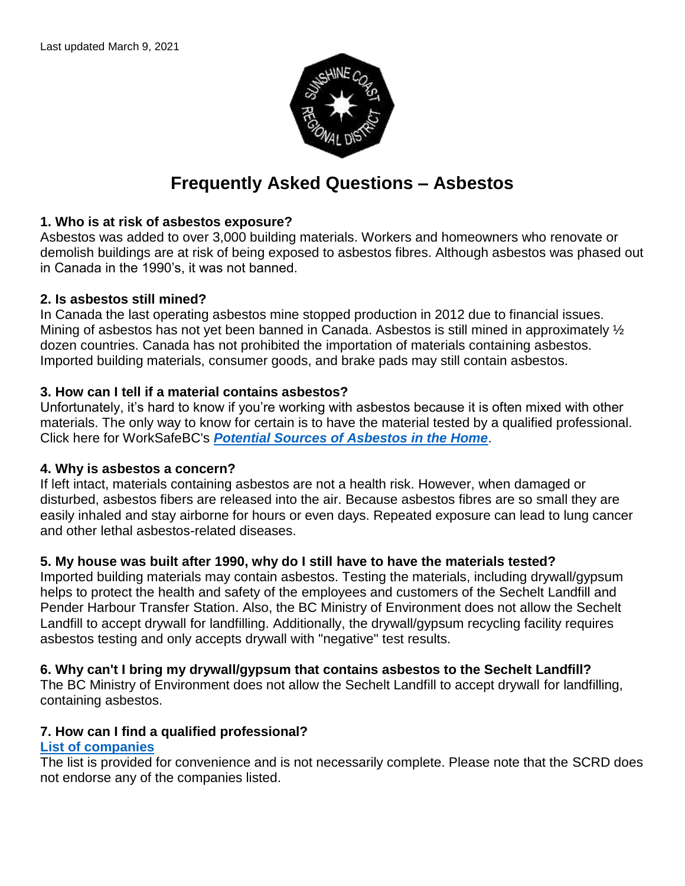

# **Frequently Asked Questions – Asbestos**

## **1. Who is at risk of asbestos exposure?**

Asbestos was added to over 3,000 building materials. Workers and homeowners who renovate or demolish buildings are at risk of being exposed to asbestos fibres. Although asbestos was phased out in Canada in the 1990's, it was not banned.

## **2. Is asbestos still mined?**

In Canada the last operating asbestos mine stopped production in 2012 due to financial issues. Mining of asbestos has not yet been banned in Canada. Asbestos is still mined in approximately  $\frac{1}{2}$ dozen countries. Canada has not prohibited the importation of materials containing asbestos. Imported building materials, consumer goods, and brake pads may still contain asbestos.

## **3. How can I tell if a material contains asbestos?**

Unfortunately, it's hard to know if you're working with asbestos because it is often mixed with other materials. The only way to know for certain is to have the material tested by a qualified professional. Click here for WorkSafeBC's *[Potential Sources of Asbestos in the Home](https://www.worksafebc.com/en/resources/health-safety/information-sheets/potential-sources-asbestos-home?lang=en&origin=s&returnurl=https%3A%2F%2Fwww.worksafebc.com%2Fen%2Fsearch%23q%3Dpotential%2520sources%2520of%2520asbestos%26sort%3Drelevancy%26f%3Alanguage-facet%3D%5BEnglish%5D)*.

## **4. Why is asbestos a concern?**

If left intact, materials containing asbestos are not a health risk. However, when damaged or disturbed, asbestos fibers are released into the air. Because asbestos fibres are so small they are easily inhaled and stay airborne for hours or even days. Repeated exposure can lead to lung cancer and other lethal asbestos-related diseases.

## **5. My house was built after 1990, why do I still have to have the materials tested?**

Imported building materials may contain asbestos. Testing the materials, including drywall/gypsum helps to protect the health and safety of the employees and customers of the Sechelt Landfill and Pender Harbour Transfer Station. Also, the BC Ministry of Environment does not allow the Sechelt Landfill to accept drywall for landfilling. Additionally, the drywall/gypsum recycling facility requires asbestos testing and only accepts drywall with "negative" test results.

## **6. Why can't I bring my drywall/gypsum that contains asbestos to the Sechelt Landfill?**

The BC Ministry of Environment does not allow the Sechelt Landfill to accept drywall for landfilling, containing asbestos.

## **7. How can I find a qualified professional?**

## **[List of companies](https://www.scrd.ca/files/File/Infrastructure/Solid%20Waste/2018%20Asbestos%20Containing%20Materials%20Disposal%20BROCHURE_1.pdf)**

The list is provided for convenience and is not necessarily complete. Please note that the SCRD does not endorse any of the companies listed.